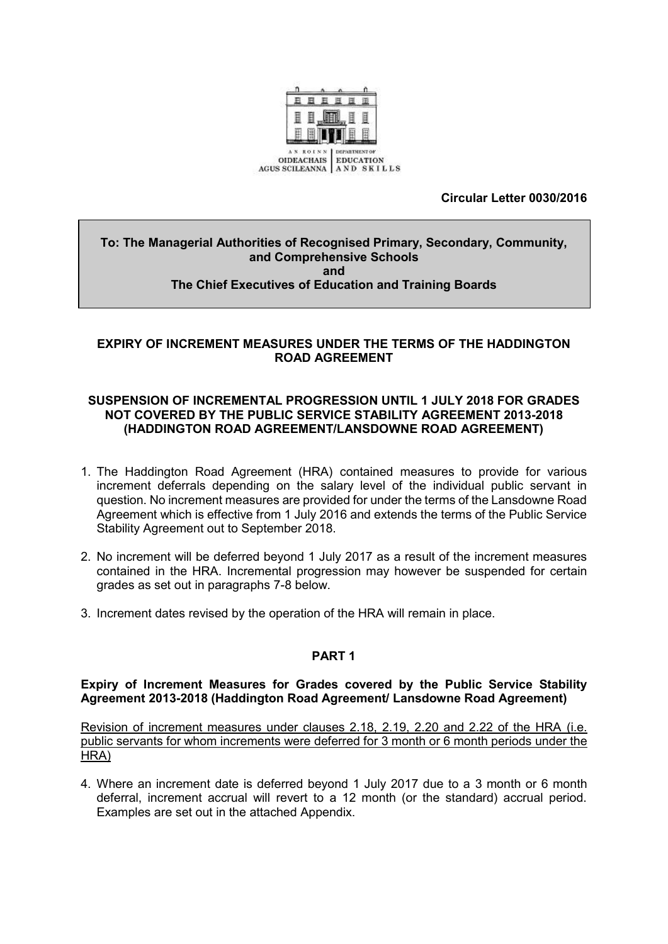

# **Circular Letter 0030/2016**

#### **To: The Managerial Authorities of Recognised Primary, Secondary, Community, and Comprehensive Schools and The Chief Executives of Education and Training Boards**

# **EXPIRY OF INCREMENT MEASURES UNDER THE TERMS OF THE HADDINGTON ROAD AGREEMENT**

### **SUSPENSION OF INCREMENTAL PROGRESSION UNTIL 1 JULY 2018 FOR GRADES NOT COVERED BY THE PUBLIC SERVICE STABILITY AGREEMENT 2013-2018 (HADDINGTON ROAD AGREEMENT/LANSDOWNE ROAD AGREEMENT)**

- 1. The Haddington Road Agreement (HRA) contained measures to provide for various increment deferrals depending on the salary level of the individual public servant in question. No increment measures are provided for under the terms of the Lansdowne Road Agreement which is effective from 1 July 2016 and extends the terms of the Public Service Stability Agreement out to September 2018.
- 2. No increment will be deferred beyond 1 July 2017 as a result of the increment measures contained in the HRA. Incremental progression may however be suspended for certain grades as set out in paragraphs 7-8 below.
- 3. Increment dates revised by the operation of the HRA will remain in place.

# **PART 1**

### **Expiry of Increment Measures for Grades covered by the Public Service Stability Agreement 2013-2018 (Haddington Road Agreement/ Lansdowne Road Agreement)**

Revision of increment measures under clauses 2.18, 2.19, 2.20 and 2.22 of the HRA (i.e. public servants for whom increments were deferred for 3 month or 6 month periods under the HRA)

4. Where an increment date is deferred beyond 1 July 2017 due to a 3 month or 6 month deferral, increment accrual will revert to a 12 month (or the standard) accrual period. Examples are set out in the attached Appendix.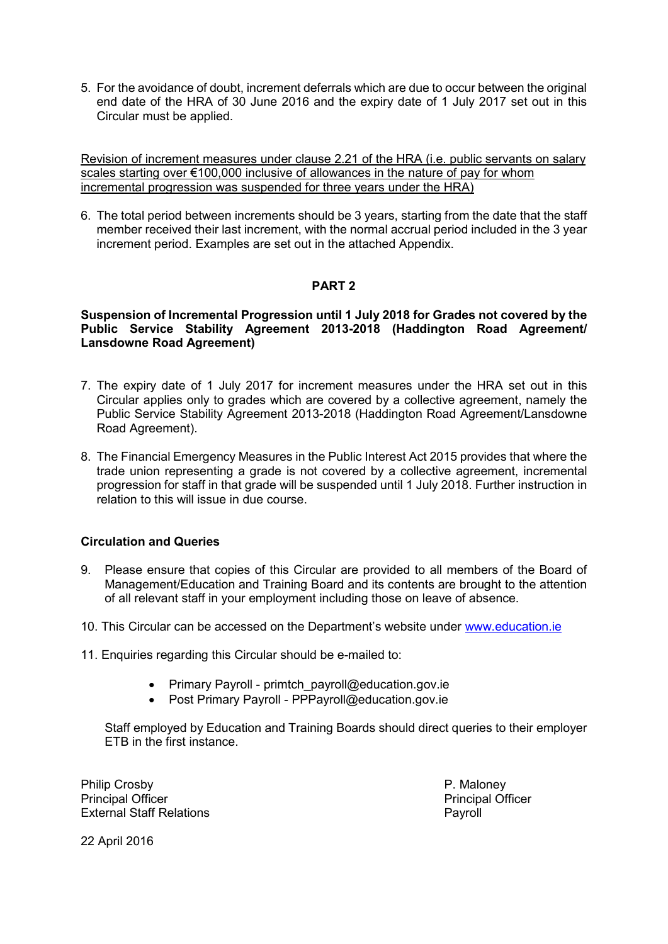5. For the avoidance of doubt, increment deferrals which are due to occur between the original end date of the HRA of 30 June 2016 and the expiry date of 1 July 2017 set out in this Circular must be applied.

Revision of increment measures under clause 2.21 of the HRA (i.e. public servants on salary scales starting over €100,000 inclusive of allowances in the nature of pay for whom incremental progression was suspended for three years under the HRA)

6. The total period between increments should be 3 years, starting from the date that the staff member received their last increment, with the normal accrual period included in the 3 year increment period. Examples are set out in the attached Appendix.

# **PART 2**

### **Suspension of Incremental Progression until 1 July 2018 for Grades not covered by the Public Service Stability Agreement 2013-2018 (Haddington Road Agreement/ Lansdowne Road Agreement)**

- 7. The expiry date of 1 July 2017 for increment measures under the HRA set out in this Circular applies only to grades which are covered by a collective agreement, namely the Public Service Stability Agreement 2013-2018 (Haddington Road Agreement/Lansdowne Road Agreement).
- 8. The Financial Emergency Measures in the Public Interest Act 2015 provides that where the trade union representing a grade is not covered by a collective agreement, incremental progression for staff in that grade will be suspended until 1 July 2018. Further instruction in relation to this will issue in due course.

# **Circulation and Queries**

- 9. Please ensure that copies of this Circular are provided to all members of the Board of Management/Education and Training Board and its contents are brought to the attention of all relevant staff in your employment including those on leave of absence.
- 10. This Circular can be accessed on the Department's website under [www.education.ie](http://www.education.ie/)
- 11. Enquiries regarding this Circular should be e-mailed to:
	- Primary Payroll primtch\_payroll@education.gov.ie
	- Post Primary Payroll PPPayroll@education.gov.ie

Staff employed by Education and Training Boards should direct queries to their employer ETB in the first instance.

Philip Crosby P. Maloney Principal Officer **Principal Officer** Principal Officer External Staff Relations **Payroll** 

22 April 2016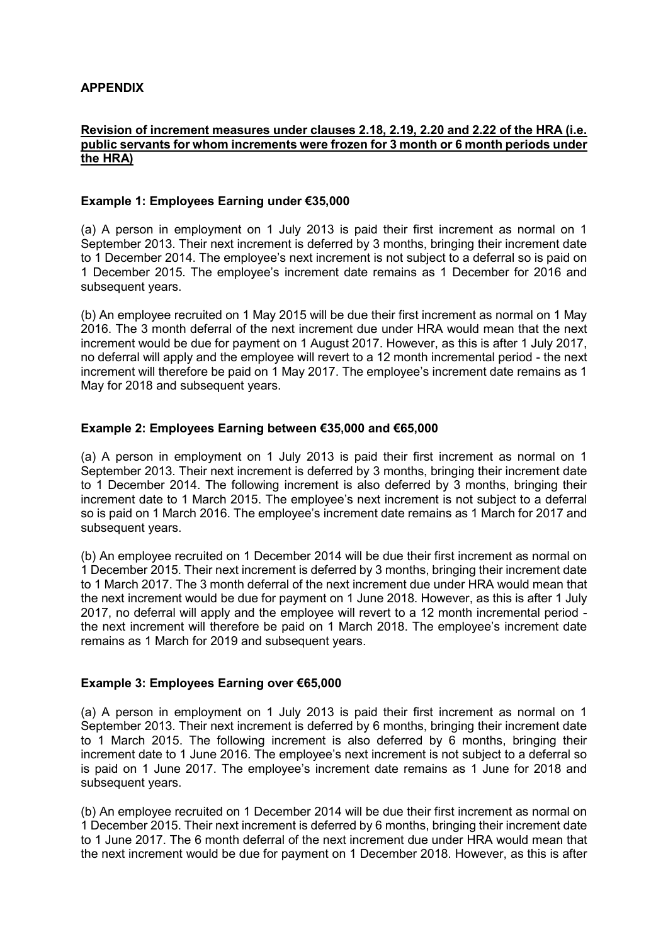### **APPENDIX**

### **Revision of increment measures under clauses 2.18, 2.19, 2.20 and 2.22 of the HRA (i.e. public servants for whom increments were frozen for 3 month or 6 month periods under the HRA)**

### **Example 1: Employees Earning under €35,000**

(a) A person in employment on 1 July 2013 is paid their first increment as normal on 1 September 2013. Their next increment is deferred by 3 months, bringing their increment date to 1 December 2014. The employee's next increment is not subject to a deferral so is paid on 1 December 2015. The employee's increment date remains as 1 December for 2016 and subsequent years.

(b) An employee recruited on 1 May 2015 will be due their first increment as normal on 1 May 2016. The 3 month deferral of the next increment due under HRA would mean that the next increment would be due for payment on 1 August 2017. However, as this is after 1 July 2017, no deferral will apply and the employee will revert to a 12 month incremental period - the next increment will therefore be paid on 1 May 2017. The employee's increment date remains as 1 May for 2018 and subsequent years.

### **Example 2: Employees Earning between €35,000 and €65,000**

(a) A person in employment on 1 July 2013 is paid their first increment as normal on 1 September 2013. Their next increment is deferred by 3 months, bringing their increment date to 1 December 2014. The following increment is also deferred by 3 months, bringing their increment date to 1 March 2015. The employee's next increment is not subject to a deferral so is paid on 1 March 2016. The employee's increment date remains as 1 March for 2017 and subsequent years.

(b) An employee recruited on 1 December 2014 will be due their first increment as normal on 1 December 2015. Their next increment is deferred by 3 months, bringing their increment date to 1 March 2017. The 3 month deferral of the next increment due under HRA would mean that the next increment would be due for payment on 1 June 2018. However, as this is after 1 July 2017, no deferral will apply and the employee will revert to a 12 month incremental period the next increment will therefore be paid on 1 March 2018. The employee's increment date remains as 1 March for 2019 and subsequent years.

#### **Example 3: Employees Earning over €65,000**

(a) A person in employment on 1 July 2013 is paid their first increment as normal on 1 September 2013. Their next increment is deferred by 6 months, bringing their increment date to 1 March 2015. The following increment is also deferred by 6 months, bringing their increment date to 1 June 2016. The employee's next increment is not subject to a deferral so is paid on 1 June 2017. The employee's increment date remains as 1 June for 2018 and subsequent years.

(b) An employee recruited on 1 December 2014 will be due their first increment as normal on 1 December 2015. Their next increment is deferred by 6 months, bringing their increment date to 1 June 2017. The 6 month deferral of the next increment due under HRA would mean that the next increment would be due for payment on 1 December 2018. However, as this is after